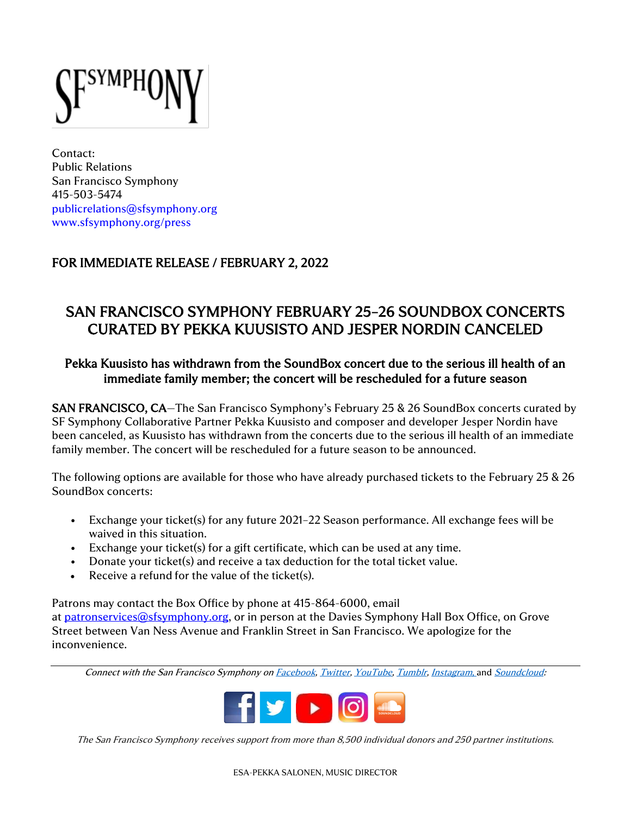YMPJ

Contact: Public Relations San Francisco Symphony 415-503-5474 [publicrelations@sfsymphony.org](mailto:publicrelations@sfsymphony.org) [www.sfsymphony.org/press](http://www.sfsymphony.org/press)

## FOR IMMEDIATE RELEASE / FEBRUARY 2, 2022

## SAN FRANCISCO SYMPHONY FEBRUARY 25–26 SOUNDBOX CONCERTS CURATED BY PEKKA KUUSISTO AND JESPER NORDIN CANCELED

## Pekka Kuusisto has withdrawn from the SoundBox concert due to the serious ill health of an immediate family member; the concert will be rescheduled for a future season

SAN FRANCISCO, CA-The San Francisco Symphony's February 25 & 26 SoundBox concerts curated by SF Symphony Collaborative Partner Pekka Kuusisto and composer and developer Jesper Nordin have been canceled, as Kuusisto has withdrawn from the concerts due to the serious ill health of an immediate family member. The concert will be rescheduled for a future season to be announced.

The following options are available for those who have already purchased tickets to the February 25 & 26 SoundBox concerts:

- Exchange your ticket(s) for any future 2021–22 Season performance. All exchange fees will be waived in this situation.
- Exchange your ticket(s) for a gift certificate, which can be used at any time.
- Donate your ticket(s) and receive a tax deduction for the total ticket value.
- Receive a refund for the value of the ticket(s).

Patrons may contact the Box Office by phone at 415-864-6000, email

at [patronservices@sfsymphony.org,](mailto:patronservices@sfsymphony.org?subject=RE%3A%20Metropole%20Orkest%20Concert%20Cancellation) or in person at the Davies Symphony Hall Box Office, on Grove Street between Van Ness Avenue and Franklin Street in San Francisco. We apologize for the inconvenience.

Connect with the San Francisco Symphony o[n Facebook,](http://facebook.com/sfsymphony) [Twitter,](http://twitter.com/sfsymphony) [YouTube,](http://www.youtube.com/user/sfsymphony) [Tumblr,](http://sfsymphony.tumblr.com/) [Instagram](http://instagram.com/sfsymphony), and [Soundcloud:](https://soundcloud.com/sfsymphony)



The San Francisco Symphony receives support from more than 8,500 individual donors and 250 partner institutions.